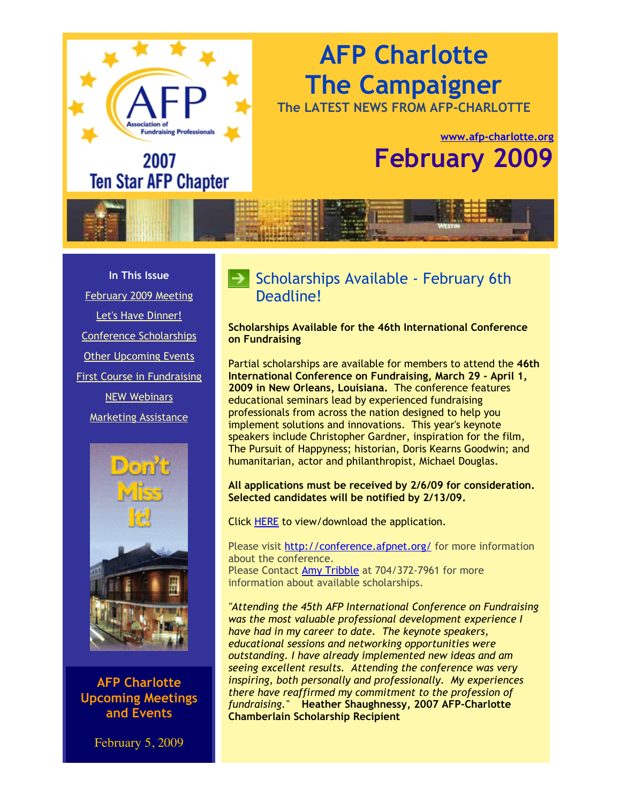# **AFP Charlotte The Campaigner**

**The LATEST NEWS FROM AFP-CHARLOTTE**

# **[www.afp-charlotte.org](http://www.afp-charlotte.org/) February 2009**

**In This Issue** [February 2009 Meeting](http://archive.constantcontact.com/fs051/1101610725496/archive/1102410573580.html#LETTER.BLOCK8) [Let's Have Dinner!](http://archive.constantcontact.com/fs051/1101610725496/archive/1102410573580.html#LETTER.BLOCK21) [Conference Scholarships](http://archive.constantcontact.com/fs051/1101610725496/archive/1102410573580.html#LETTER.BLOCK20) [Other Upcoming Events](http://archive.constantcontact.com/fs051/1101610725496/archive/1102410573580.html#LETTER.BLOCK11) [First Course in Fundraising](http://archive.constantcontact.com/fs051/1101610725496/archive/1102410573580.html#LETTER.BLOCK6) [NEW Webinars](http://archive.constantcontact.com/fs051/1101610725496/archive/1102410573580.html#LETTER.BLOCK18) [Marketing Assistance](http://archive.constantcontact.com/fs051/1101610725496/archive/1102410573580.html#LETTER.BLOCK19)

**Fundraising Professional** 

2007

**Ten Star AFP Chapter** 



**AFP Charlotte Upcoming Meetings and Events**

February 5, 2009

## $\blacktriangleright$  Scholarships Available - February 6th Deadline!

**Scholarships Available for the 46th International Conference on Fundraising**

Partial scholarships are available for members to attend the **46th International Conference on Fundraising, March 29 - April 1, 2009 in New Orleans, Louisiana.** The conference features educational seminars lead by experienced fundraising professionals from across the nation designed to help you implement solutions and innovations. This year's keynote speakers include Christopher Gardner, inspiration for the film, The Pursuit of Happyness; historian, Doris Kearns Goodwin; and humanitarian, actor and philanthropist, Michael Douglas.

#### **All applications must be received by 2/6/09 for consideration. Selected candidates will be notified by 2/13/09.**

Click [HERE](http://www.afp-charlotte.org/customers/102012921065393/filemanager/General_AFP_Scholarship_Application.pdf) to view/download the application.

Please visit<http://conference.afpnet.org/>for more information about the conference. Please Contact [Amy Tribble](mailto:amy@cfcrights.org) at 704/372-7961 for more information about available scholarships.

*"Attending the 45th AFP International Conference on Fundraising was the most valuable professional development experience I have had in my career to date. The keynote speakers, educational sessions and networking opportunities were outstanding. I have already implemented new ideas and am seeing excellent results. Attending the conference was very inspiring, both personally and professionally. My experiences there have reaffirmed my commitment to the profession of fundraising."* **Heather Shaughnessy, 2007 AFP-Charlotte Chamberlain Scholarship Recipient**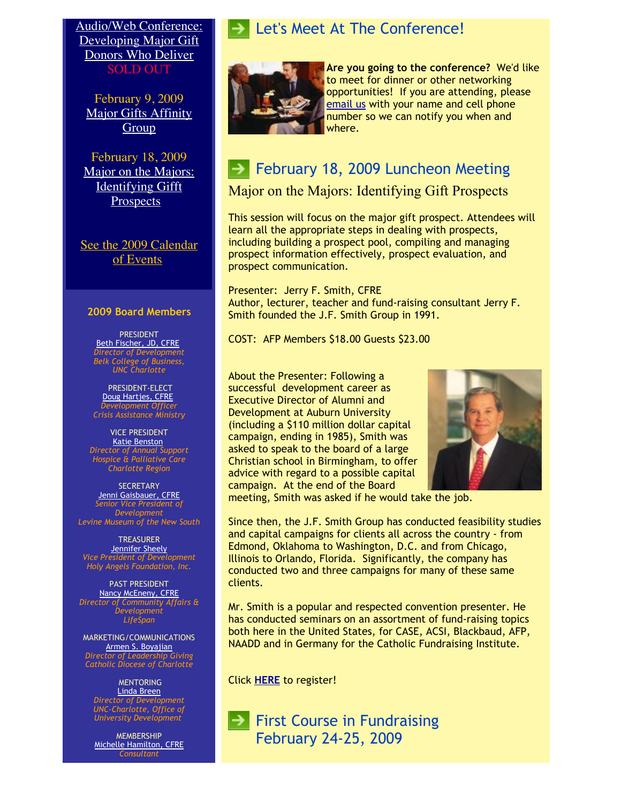[Audio/Web Conference:](http://www.afp-charlotte.org/rsvp_details.html?id=2216) Developing Major Gift Donors Who Deliver SOLD OUT

February 9, 2009 [Major Gifts Affinity](http://www.afp-charlotte.org/rsvp_details.html?id=2198) **Group** 

February 18, 2009 [Major on the Majors:](http://www.afp-charlotte.org/rsvp_details.html?id=2217) Identifying Gifft **Prospects** 

[See the 2009 Calendar](http://www.afp-charlotte.org/rsvp.html) of Events

#### **2009 Board Members**

PRESIDENT [Beth Fischer, JD, CFRE](mailto:beth.fischer@uncc.edu) *Director of Development Belk College of Business, UNC Charlotte*

PRESIDENT-ELECT [Doug Hartjes, CFRE](mailto:dhartjes@crisisassistance.org) *Development Officer Crisis Assistance Ministry*

VICE PRESIDENT **[Katie Benston](mailto:benstonk@hpccr.org)** *Director of Annual Support Hospice & Palliative Care Charlotte Region*

SECRETARY [Jenni Gaisbauer, CFRE](mailto:jgaisbauer@museumofthenewsouth.org) *Senior Vice President of Development Levine Museum of the New South*

TREASURER [Jennifer Sheely](mailto:jennifers@holyangelsnc.org) *Vice President of Development Holy Angels Foundation, Inc.*

PAST PRESIDENT [Nancy McEneny, CFRE](mailto:nmceneny@lifespanservices.org) *Director of Community Affairs & Development LifeSpan*

MARKETING/COMMUNICATIONS [Armen S. Boyajian](mailto:asboyajian@charlottediocese.org) *Director of Leadership Giving Catholic Diocese of Charlotte*

#### **MENTORING** [Linda Breen](mailto:lbreen@uncc.edu) *Director of Development UNC-Charlotte, Office of*

*University Development*

MEMBERSHIP [Michelle Hamilton, CFRE](mailto:michelle@michellehamiltononline.com) *Consultant*

### Let's Meet At The Conference!



**Are you going to the conference?** We'd like to meet for dinner or other networking opportunities! If you are attending, please [email us](mailto:info@afp-charlotte.org) with your name and cell phone number so we can notify you when and where.

# February 18, 2009 Luncheon Meeting

Major on the Majors: Identifying Gift Prospects

This session will focus on the major gift prospect. Attendees will learn all the appropriate steps in dealing with prospects, including building a prospect pool, compiling and managing prospect information effectively, prospect evaluation, and prospect communication.

Presenter: Jerry F. Smith, CFRE Author, lecturer, teacher and fund-raising consultant Jerry F. Smith founded the J.F. Smith Group in 1991.

COST: AFP Members \$18.00 Guests \$23.00

About the Presenter: Following a successful development career as Executive Director of Alumni and Development at Auburn University (including a \$110 million dollar capital campaign, ending in 1985), Smith was asked to speak to the board of a large Christian school in Birmingham, to offer advice with regard to a possible capital campaign. At the end of the Board



meeting, Smith was asked if he would take the job.

Since then, the J.F. Smith Group has conducted feasibility studies and capital campaigns for clients all across the country - from Edmond, Oklahoma to Washington, D.C. and from Chicago, Illinois to Orlando, Florida. Significantly, the company has conducted two and three campaigns for many of these same clients.

Mr. Smith is a popular and respected convention presenter. He has conducted seminars on an assortment of fund-raising topics both here in the United States, for CASE, ACSI, Blackbaud, AFP, NAADD and in Germany for the Catholic Fundraising Institute.

Click **[HERE](http://www.afp-charlotte.org/rsvp_details.html?id=2217)** to register!

 $\rightarrow$  First Course in Fundraising February 24-25, 2009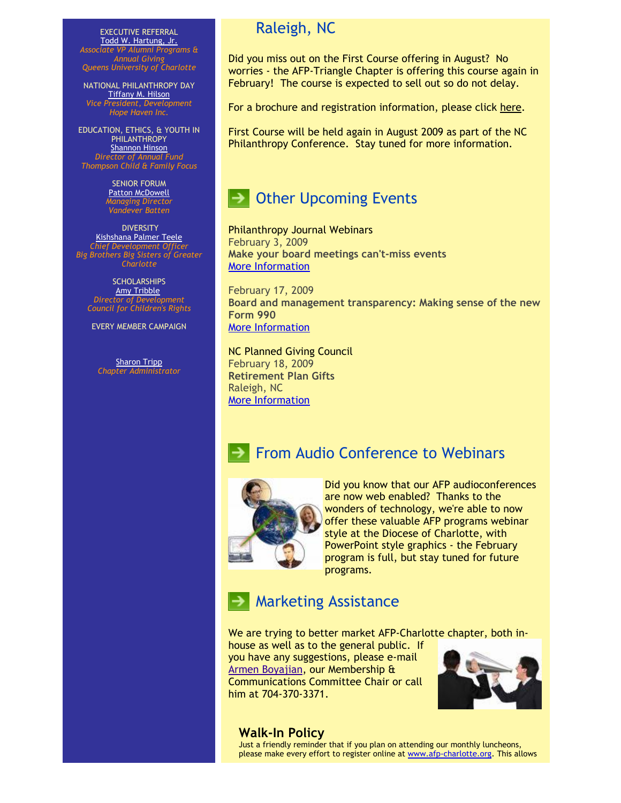EXECUTIVE REFERRAL [Todd W. Hartung, Jr.](mailto:Hartungt@queens.edu) *Associate VP Alumni Programs & Annual Giving Queens University of Charlotte*

NATIONAL PHILANTHROPY DAY [Tiffany M. Hilson](mailto:thilson@hopehaveninc.org) *Vice President, Development Hope Haven Inc.*

EDUCATION, ETHICS, & YOUTH IN PHILANTHROPY [Shannon Hinson](mailto:shinson@thompsoncff.org) *Director of Annual Fund Thompson Child & Family Focus*

> SENIOR FORUM [Patton McDowell](mailto:pmcdowell@vandeverbatten.com) *Managing Director Vandever Batten*

**DIVERSITY** [Kishshana Palmer Teele](mailto:kishshana.teele@gmail.com) *Chief Development Officer Big Brothers Big Sisters of Greater Charlotte*

**SCHOLARSHIPS** [Amy Tribble](mailto:amy@cfcrights.org) *Director of Development Council for Children's Rights*

EVERY MEMBER CAMPAIGN

**[Sharon Tripp](mailto:info@afp-charlotte.org)** *Chapter Administrator*

### Raleigh, NC

Did you miss out on the First Course offering in August? No worries - the AFP-Triangle Chapter is offering this course again in February! The course is expected to sell out so do not delay.

For a brochure and registration information, please click [here.](http://www.afp-charlotte.org/customers/102012921065393/filemanager/2009_First_Course_Brochure.doc)

First Course will be held again in August 2009 as part of the NC Philanthropy Conference. Stay tuned for more information.



Philanthropy Journal Webinars February 3, 2009 **Make your board meetings can't-miss events** [More Information](http://www.philanthropyjournal.org/webinars-and-workshops)

February 17, 2009 **Board and management transparency: Making sense of the new Form 990**  [More Information](http://www.philanthropyjournal.org/webinars-and-workshops)

NC Planned Giving Council February 18, 2009 **Retirement Plan Gifts** Raleigh, NC [More Information](http://www.ncpgc.org/page3.html)

### From Audio Conference to Webinars



Did you know that our AFP audioconferences are now web enabled? Thanks to the wonders of technology, we're able to now offer these valuable AFP programs webinar style at the Diocese of Charlotte, with PowerPoint style graphics - the February program is full, but stay tuned for future programs.

# Marketing Assistance

We are trying to better market AFP-Charlotte chapter, both in-

house as well as to the general public. If you have any suggestions, please e-mail [Armen Boyajian,](mailto:asboyajian@charlottediocese.org) our Membership & Communications Committee Chair or call him at 704-370-3371.



### **Walk-In Policy**

Just a friendly reminder that if you plan on attending our monthly luncheons, please make every effort to register online at [www.afp-charlotte.org.](http://www.afp-charlotte.org/) This allows